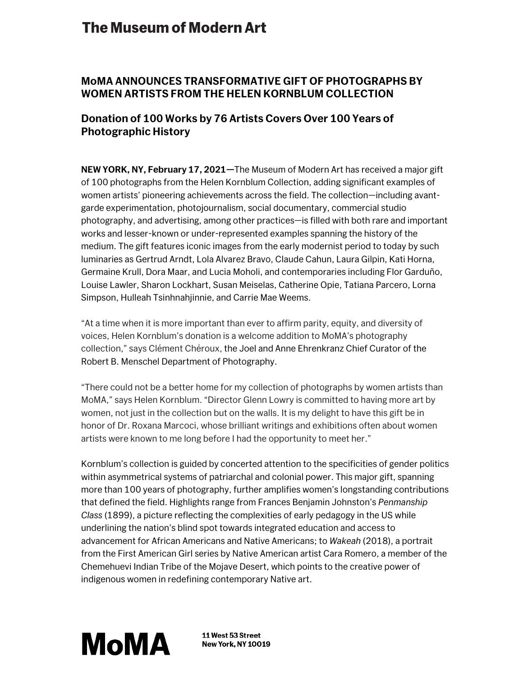# **The Museum of Modern Art**

## **MoMA ANNOUNCES TRANSFORMATIVE GIFT OF PHOTOGRAPHS BY WOMEN ARTISTS FROM THE HELEN KORNBLUM COLLECTION**

### **Donation of 100 Works by 76 Artists Covers Over 100 Years of Photographic History**

**NEW YORK, NY, February 17, 2021***—*The Museum of Modern Art has received a major gift of 100 photographs from the Helen Kornblum Collection, adding significant examples of women artists' pioneering achievements across the field. The collection—including avantgarde experimentation, photojournalism, social documentary, commercial studio photography, and advertising, among other practices—is filled with both rare and important works and lesser-known or under-represented examples spanning the history of the medium. The gift features iconic images from the early modernist period to today by such luminaries as Gertrud Arndt, Lola Alvarez Bravo, Claude Cahun, Laura Gilpin, Kati Horna, Germaine Krull, Dora Maar, and Lucia Moholi, and contemporaries including Flor Garduño, Louise Lawler, Sharon Lockhart, Susan Meiselas, Catherine Opie, Tatiana Parcero, Lorna Simpson, Hulleah Tsinhnahjinnie, and Carrie Mae Weems.

"At a time when it is more important than ever to affirm parity, equity, and diversity of voices, Helen Kornblum's donation is a welcome addition to MoMA's photography collection," says Clément Chéroux, the Joel and Anne Ehrenkranz Chief Curator of the Robert B. Menschel Department of Photography.

"There could not be a better home for my collection of photographs by women artists than MoMA," says Helen Kornblum. "Director Glenn Lowry is committed to having more art by women, not just in the collection but on the walls. It is my delight to have this gift be in honor of Dr. Roxana Marcoci, whose brilliant writings and exhibitions often about women artists were known to me long before I had the opportunity to meet her."

Kornblum's collection is guided by concerted attention to the specificities of gender politics within asymmetrical systems of patriarchal and colonial power. This major gift, spanning more than 100 years of photography, further amplifies women's longstanding contributions that defined the field. Highlights range from Frances Benjamin Johnston's *Penmanship Class* (1899), a picture reflecting the complexities of early pedagogy in the US while underlining the nation's blind spot towards integrated education and access to advancement for African Americans and Native Americans; to *Wakeah* (2018), a portrait from the First American Girl series by Native American artist Cara Romero, a member of the Chemehuevi Indian Tribe of the Mojave Desert, which points to the creative power of indigenous women in redefining contemporary Native art.



11 West 53 Street **New York, NY 10019**